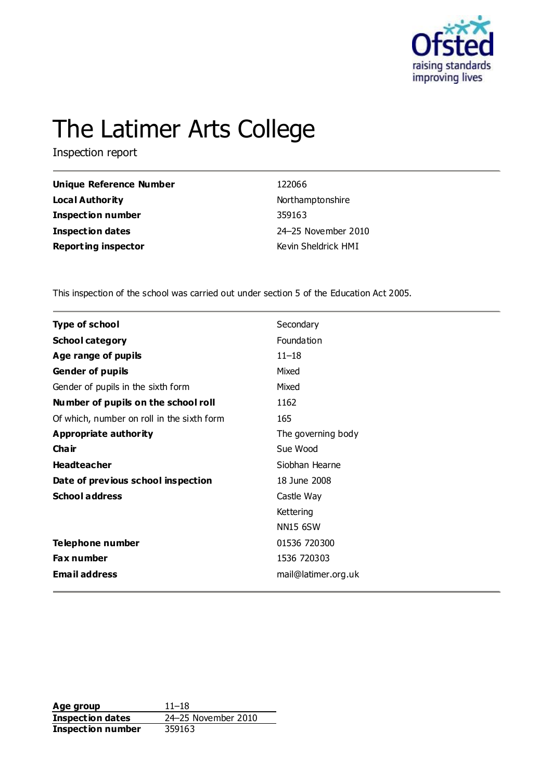

# The Latimer Arts College

Inspection report

| <b>Unique Reference Number</b> | 122066              |
|--------------------------------|---------------------|
| <b>Local Authority</b>         | Northamptonshire    |
| Inspection number              | 359163              |
| <b>Inspection dates</b>        | 24-25 November 2010 |
| <b>Reporting inspector</b>     | Kevin Sheldrick HMI |

This inspection of the school was carried out under section 5 of the Education Act 2005.

| Type of school                             | Secondary           |
|--------------------------------------------|---------------------|
| <b>School category</b>                     | Foundation          |
| Age range of pupils                        | $11 - 18$           |
| <b>Gender of pupils</b>                    | Mixed               |
| Gender of pupils in the sixth form         | Mixed               |
| Number of pupils on the school roll        | 1162                |
| Of which, number on roll in the sixth form | 165                 |
| <b>Appropriate authority</b>               | The governing body  |
| Cha ir                                     | Sue Wood            |
| <b>Headteacher</b>                         | Siobhan Hearne      |
| Date of previous school inspection         | 18 June 2008        |
| <b>School address</b>                      | Castle Way          |
|                                            | Kettering           |
|                                            | <b>NN15 6SW</b>     |
| Telephone number                           | 01536 720300        |
| <b>Fax number</b>                          | 1536 720303         |
| <b>Email address</b>                       | mail@latimer.org.uk |

**Age group** 11–18 **Inspection dates** 24–25 November 2010 **Inspection number** 359163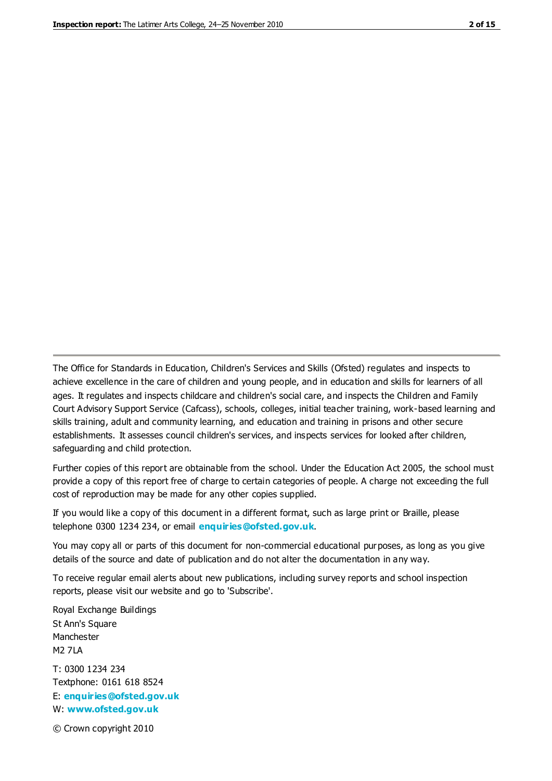The Office for Standards in Education, Children's Services and Skills (Ofsted) regulates and inspects to achieve excellence in the care of children and young people, and in education and skills for learners of all ages. It regulates and inspects childcare and children's social care, and inspects the Children and Family Court Advisory Support Service (Cafcass), schools, colleges, initial teacher training, work-based learning and skills training, adult and community learning, and education and training in prisons and other secure establishments. It assesses council children's services, and inspects services for looked after children, safeguarding and child protection.

Further copies of this report are obtainable from the school. Under the Education Act 2005, the school must provide a copy of this report free of charge to certain categories of people. A charge not exceeding the full cost of reproduction may be made for any other copies supplied.

If you would like a copy of this document in a different format, such as large print or Braille, please telephone 0300 1234 234, or email **[enquiries@ofsted.gov.uk](mailto:enquiries@ofsted.gov.uk)**.

You may copy all or parts of this document for non-commercial educational purposes, as long as you give details of the source and date of publication and do not alter the documentation in any way.

To receive regular email alerts about new publications, including survey reports and school inspection reports, please visit our website and go to 'Subscribe'.

Royal Exchange Buildings St Ann's Square Manchester M2 7LA T: 0300 1234 234 Textphone: 0161 618 8524 E: **[enquiries@ofsted.gov.uk](mailto:enquiries@ofsted.gov.uk)**

W: **[www.ofsted.gov.uk](http://www.ofsted.gov.uk/)**

© Crown copyright 2010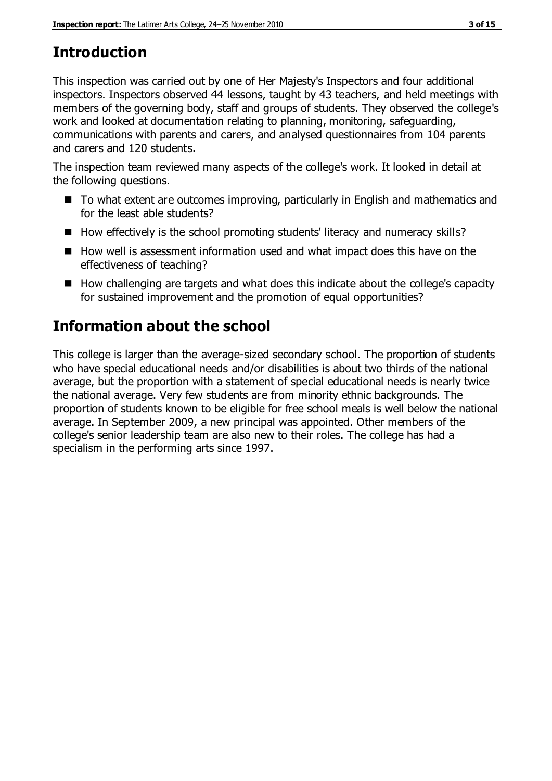# **Introduction**

This inspection was carried out by one of Her Majesty's Inspectors and four additional inspectors. Inspectors observed 44 lessons, taught by 43 teachers, and held meetings with members of the governing body, staff and groups of students. They observed the college's work and looked at documentation relating to planning, monitoring, safeguarding, communications with parents and carers, and analysed questionnaires from 104 parents and carers and 120 students.

The inspection team reviewed many aspects of the college's work. It looked in detail at the following questions.

- To what extent are outcomes improving, particularly in English and mathematics and for the least able students?
- $\blacksquare$  How effectively is the school promoting students' literacy and numeracy skills?
- How well is assessment information used and what impact does this have on the effectiveness of teaching?
- $\blacksquare$  How challenging are targets and what does this indicate about the college's capacity for sustained improvement and the promotion of equal opportunities?

## **Information about the school**

This college is larger than the average-sized secondary school. The proportion of students who have special educational needs and/or disabilities is about two thirds of the national average, but the proportion with a statement of special educational needs is nearly twice the national average. Very few students are from minority ethnic backgrounds. The proportion of students known to be eligible for free school meals is well below the national average. In September 2009, a new principal was appointed. Other members of the college's senior leadership team are also new to their roles. The college has had a specialism in the performing arts since 1997.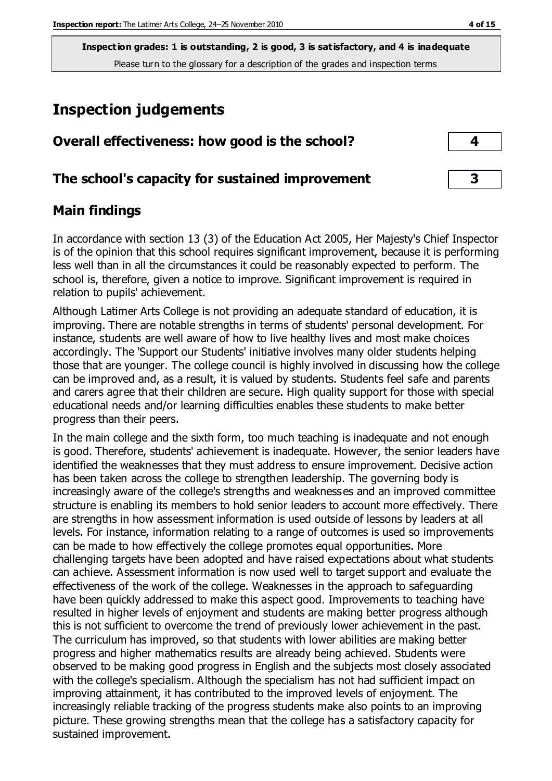## **Inspection judgements**

| Overall effectiveness: how good is the school?  |  |
|-------------------------------------------------|--|
| The school's capacity for sustained improvement |  |

### **Main findings**

In accordance with section 13 (3) of the Education Act 2005, Her Majesty's Chief Inspector is of the opinion that this school requires significant improvement, because it is performing less well than in all the circumstances it could be reasonably expected to perform. The school is, therefore, given a notice to improve. Significant improvement is required in relation to pupils' achievement.

Although Latimer Arts College is not providing an adequate standard of education, it is improving. There are notable strengths in terms of students' personal development. For instance, students are well aware of how to live healthy lives and most make choices accordingly. The 'Support our Students' initiative involves many older students helping those that are younger. The college council is highly involved in discussing how the college can be improved and, as a result, it is valued by students. Students feel safe and parents and carers agree that their children are secure. High quality support for those with special educational needs and/or learning difficulties enables these students to make better progress than their peers.

In the main college and the sixth form, too much teaching is inadequate and not enough is good. Therefore, students' achievement is inadequate. However, the senior leaders have identified the weaknesses that they must address to ensure improvement. Decisive action has been taken across the college to strengthen leadership. The governing body is increasingly aware of the college's strengths and weaknesses and an improved committee structure is enabling its members to hold senior leaders to account more effectively. There are strengths in how assessment information is used outside of lessons by leaders at all levels. For instance, information relating to a range of outcomes is used so improvements can be made to how effectively the college promotes equal opportunities. More challenging targets have been adopted and have raised expectations about what students can achieve. Assessment information is now used well to target support and evaluate the effectiveness of the work of the college. Weaknesses in the approach to safeguarding have been quickly addressed to make this aspect good. Improvements to teaching have resulted in higher levels of enjoyment and students are making better progress although this is not sufficient to overcome the trend of previously lower achievement in the past. The curriculum has improved, so that students with lower abilities are making better progress and higher mathematics results are already being achieved. Students were observed to be making good progress in English and the subjects most closely associated with the college's specialism. Although the specialism has not had sufficient impact on improving attainment, it has contributed to the improved levels of enjoyment. The increasingly reliable tracking of the progress students make also points to an improving picture. These growing strengths mean that the college has a satisfactory capacity for sustained improvement.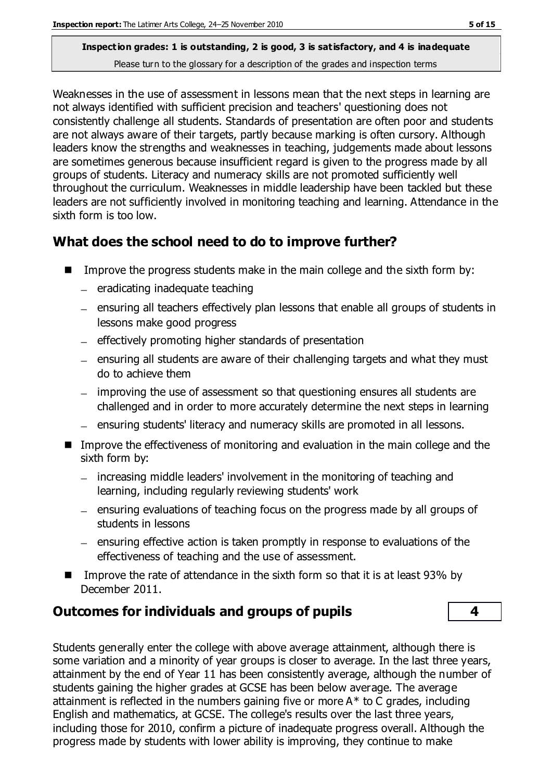Weaknesses in the use of assessment in lessons mean that the next steps in learning are not always identified with sufficient precision and teachers' questioning does not consistently challenge all students. Standards of presentation are often poor and students are not always aware of their targets, partly because marking is often cursory. Although leaders know the strengths and weaknesses in teaching, judgements made about lessons are sometimes generous because insufficient regard is given to the progress made by all groups of students. Literacy and numeracy skills are not promoted sufficiently well throughout the curriculum. Weaknesses in middle leadership have been tackled but these leaders are not sufficiently involved in monitoring teaching and learning. Attendance in the sixth form is too low.

## **What does the school need to do to improve further?**

- Improve the progress students make in the main college and the sixth form by:
	- $-$  eradicating inadequate teaching
	- ensuring all teachers effectively plan lessons that enable all groups of students in lessons make good progress
	- effectively promoting higher standards of presentation
	- $-$  ensuring all students are aware of their challenging targets and what they must do to achieve them
	- improving the use of assessment so that questioning ensures all students are challenged and in order to more accurately determine the next steps in learning
	- ensuring students' literacy and numeracy skills are promoted in all lessons.
- Improve the effectiveness of monitoring and evaluation in the main college and the sixth form by:
	- $-$  increasing middle leaders' involvement in the monitoring of teaching and learning, including regularly reviewing students' work
	- ensuring evaluations of teaching focus on the progress made by all groups of students in lessons
	- $-$  ensuring effective action is taken promptly in response to evaluations of the effectiveness of teaching and the use of assessment.
- Improve the rate of attendance in the sixth form so that it is at least 93% by December 2011.

## **Outcomes for individuals and groups of pupils 4**

Students generally enter the college with above average attainment, although there is some variation and a minority of year groups is closer to average. In the last three years, attainment by the end of Year 11 has been consistently average, although the number of students gaining the higher grades at GCSE has been below average. The average attainment is reflected in the numbers gaining five or more  $A^*$  to C grades, including English and mathematics, at GCSE. The college's results over the last three years, including those for 2010, confirm a picture of inadequate progress overall. Although the progress made by students with lower ability is improving, they continue to make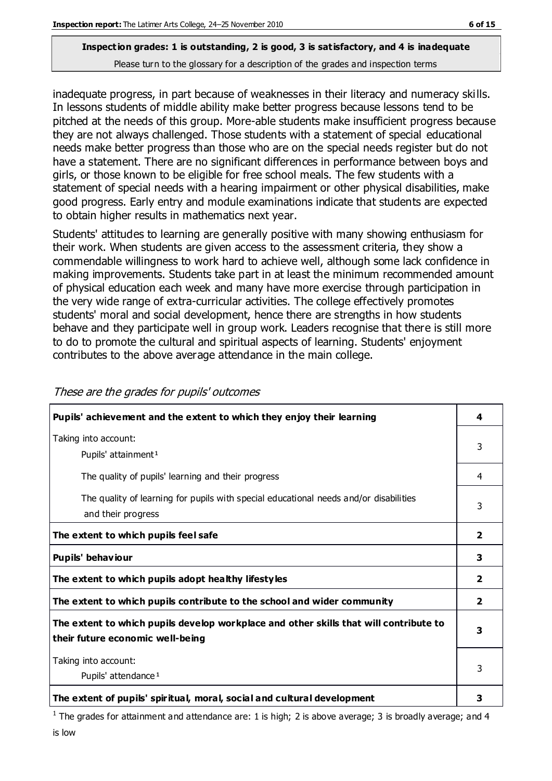inadequate progress, in part because of weaknesses in their literacy and numeracy skills. In lessons students of middle ability make better progress because lessons tend to be pitched at the needs of this group. More-able students make insufficient progress because they are not always challenged. Those students with a statement of special educational needs make better progress than those who are on the special needs register but do not have a statement. There are no significant differences in performance between boys and girls, or those known to be eligible for free school meals. The few students with a statement of special needs with a hearing impairment or other physical disabilities, make good progress. Early entry and module examinations indicate that students are expected to obtain higher results in mathematics next year.

Students' attitudes to learning are generally positive with many showing enthusiasm for their work. When students are given access to the assessment criteria, they show a commendable willingness to work hard to achieve well, although some lack confidence in making improvements. Students take part in at least the minimum recommended amount of physical education each week and many have more exercise through participation in the very wide range of extra-curricular activities. The college effectively promotes students' moral and social development, hence there are strengths in how students behave and they participate well in group work. Leaders recognise that there is still more to do to promote the cultural and spiritual aspects of learning. Students' enjoyment contributes to the above average attendance in the main college.

| Pupils' achievement and the extent to which they enjoy their learning                                                     | 4              |
|---------------------------------------------------------------------------------------------------------------------------|----------------|
| Taking into account:<br>Pupils' attainment <sup>1</sup>                                                                   | 3              |
| The quality of pupils' learning and their progress                                                                        | 4              |
| The quality of learning for pupils with special educational needs and/or disabilities<br>and their progress               | 3              |
| The extent to which pupils feel safe                                                                                      |                |
| Pupils' behaviour                                                                                                         | 3              |
| The extent to which pupils adopt healthy lifestyles                                                                       | 2              |
| The extent to which pupils contribute to the school and wider community                                                   | $\overline{2}$ |
| The extent to which pupils develop workplace and other skills that will contribute to<br>their future economic well-being |                |
| Taking into account:<br>Pupils' attendance <sup>1</sup>                                                                   |                |
| The extent of pupils' spiritual, moral, social and cultural development                                                   | 3              |

These are the grades for pupils' outcomes

<sup>1</sup> The grades for attainment and attendance are: 1 is high; 2 is above average; 3 is broadly average; and 4 is low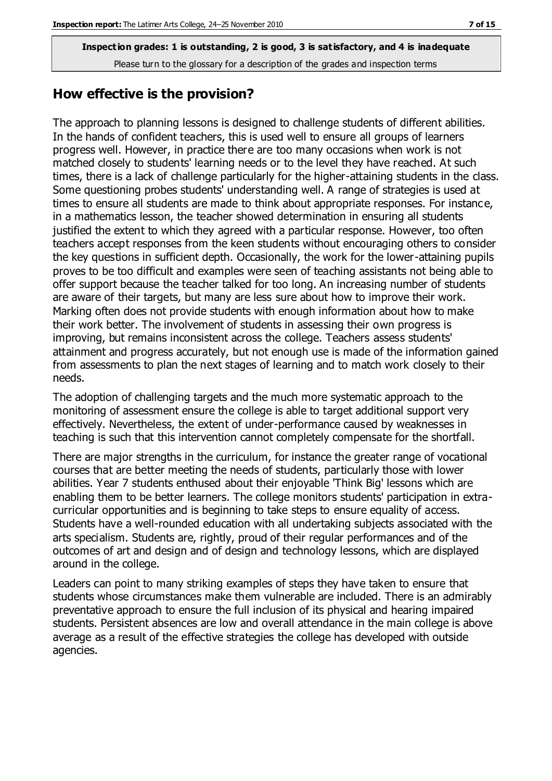#### **How effective is the provision?**

The approach to planning lessons is designed to challenge students of different abilities. In the hands of confident teachers, this is used well to ensure all groups of learners progress well. However, in practice there are too many occasions when work is not matched closely to students' learning needs or to the level they have reached. At such times, there is a lack of challenge particularly for the higher-attaining students in the class. Some questioning probes students' understanding well. A range of strategies is used at times to ensure all students are made to think about appropriate responses. For instance, in a mathematics lesson, the teacher showed determination in ensuring all students justified the extent to which they agreed with a particular response. However, too often teachers accept responses from the keen students without encouraging others to consider the key questions in sufficient depth. Occasionally, the work for the lower-attaining pupils proves to be too difficult and examples were seen of teaching assistants not being able to offer support because the teacher talked for too long. An increasing number of students are aware of their targets, but many are less sure about how to improve their work. Marking often does not provide students with enough information about how to make their work better. The involvement of students in assessing their own progress is improving, but remains inconsistent across the college. Teachers assess students' attainment and progress accurately, but not enough use is made of the information gained from assessments to plan the next stages of learning and to match work closely to their needs.

The adoption of challenging targets and the much more systematic approach to the monitoring of assessment ensure the college is able to target additional support very effectively. Nevertheless, the extent of under-performance caused by weaknesses in teaching is such that this intervention cannot completely compensate for the shortfall.

There are major strengths in the curriculum, for instance the greater range of vocational courses that are better meeting the needs of students, particularly those with lower abilities. Year 7 students enthused about their enjoyable 'Think Big' lessons which are enabling them to be better learners. The college monitors students' participation in extracurricular opportunities and is beginning to take steps to ensure equality of access. Students have a well-rounded education with all undertaking subjects associated with the arts specialism. Students are, rightly, proud of their regular performances and of the outcomes of art and design and of design and technology lessons, which are displayed around in the college.

Leaders can point to many striking examples of steps they have taken to ensure that students whose circumstances make them vulnerable are included. There is an admirably preventative approach to ensure the full inclusion of its physical and hearing impaired students. Persistent absences are low and overall attendance in the main college is above average as a result of the effective strategies the college has developed with outside agencies.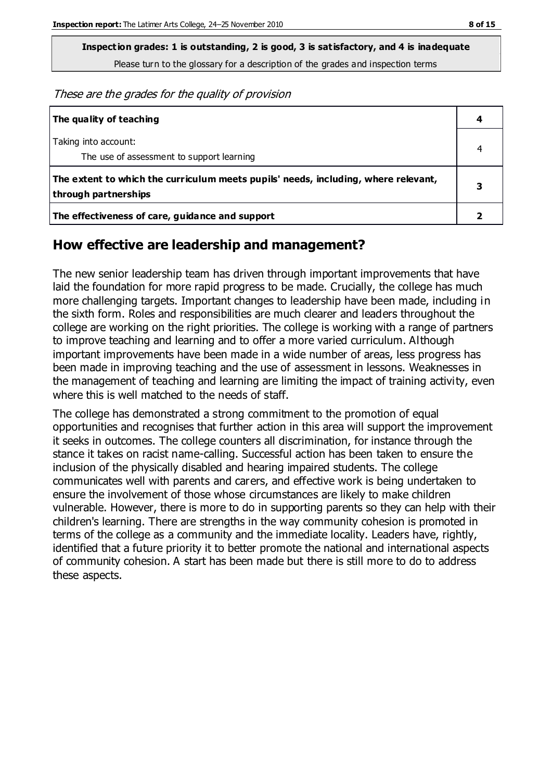**Inspection grades: 1 is outstanding, 2 is good, 3 is satisfactory, and 4 is inadequate**

Please turn to the glossary for a description of the grades and inspection terms

These are the grades for the quality of provision

| The quality of teaching                                                                                    | 4 |
|------------------------------------------------------------------------------------------------------------|---|
| Taking into account:<br>The use of assessment to support learning                                          |   |
| The extent to which the curriculum meets pupils' needs, including, where relevant,<br>through partnerships | З |
| The effectiveness of care, guidance and support                                                            |   |

#### **How effective are leadership and management?**

The new senior leadership team has driven through important improvements that have laid the foundation for more rapid progress to be made. Crucially, the college has much more challenging targets. Important changes to leadership have been made, including in the sixth form. Roles and responsibilities are much clearer and leaders throughout the college are working on the right priorities. The college is working with a range of partners to improve teaching and learning and to offer a more varied curriculum. Although important improvements have been made in a wide number of areas, less progress has been made in improving teaching and the use of assessment in lessons. Weaknesses in the management of teaching and learning are limiting the impact of training activity, even where this is well matched to the needs of staff.

The college has demonstrated a strong commitment to the promotion of equal opportunities and recognises that further action in this area will support the improvement it seeks in outcomes. The college counters all discrimination, for instance through the stance it takes on racist name-calling. Successful action has been taken to ensure the inclusion of the physically disabled and hearing impaired students. The college communicates well with parents and carers, and effective work is being undertaken to ensure the involvement of those whose circumstances are likely to make children vulnerable. However, there is more to do in supporting parents so they can help with their children's learning. There are strengths in the way community cohesion is promoted in terms of the college as a community and the immediate locality. Leaders have, rightly, identified that a future priority it to better promote the national and international aspects of community cohesion. A start has been made but there is still more to do to address these aspects.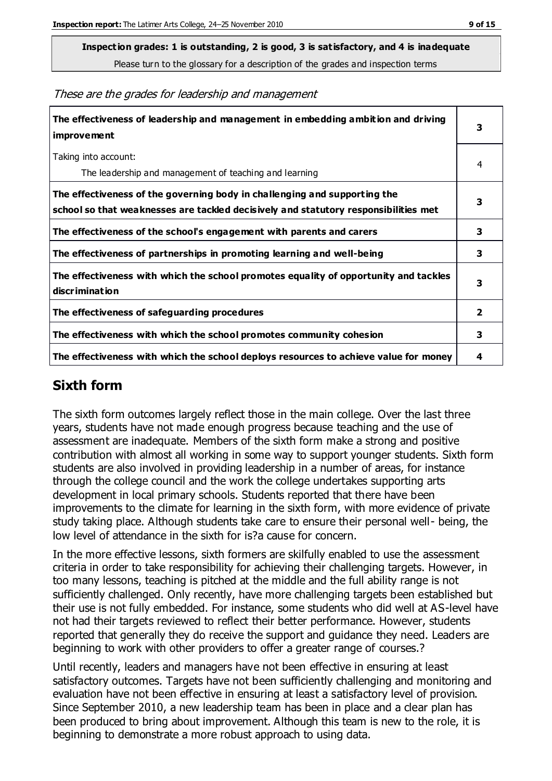**Inspection grades: 1 is outstanding, 2 is good, 3 is satisfactory, and 4 is inadequate**

Please turn to the glossary for a description of the grades and inspection terms

These are the grades for leadership and management

| The effectiveness of leadership and management in embedding ambition and driving<br>improvement                                                                  |              |
|------------------------------------------------------------------------------------------------------------------------------------------------------------------|--------------|
| Taking into account:<br>The leadership and management of teaching and learning                                                                                   | 4            |
| The effectiveness of the governing body in challenging and supporting the<br>school so that weaknesses are tackled decisively and statutory responsibilities met | 3            |
| The effectiveness of the school's engagement with parents and carers                                                                                             | 3            |
| The effectiveness of partnerships in promoting learning and well-being                                                                                           | 3            |
| The effectiveness with which the school promotes equality of opportunity and tackles<br>discrimination                                                           | 3            |
| The effectiveness of safeguarding procedures                                                                                                                     | $\mathbf{z}$ |
| The effectiveness with which the school promotes community cohesion                                                                                              | 3            |
| The effectiveness with which the school deploys resources to achieve value for money                                                                             | 4            |

#### **Sixth form**

The sixth form outcomes largely reflect those in the main college. Over the last three years, students have not made enough progress because teaching and the use of assessment are inadequate. Members of the sixth form make a strong and positive contribution with almost all working in some way to support younger students. Sixth form students are also involved in providing leadership in a number of areas, for instance through the college council and the work the college undertakes supporting arts development in local primary schools. Students reported that there have been improvements to the climate for learning in the sixth form, with more evidence of private study taking place. Although students take care to ensure their personal well- being, the low level of attendance in the sixth for is?a cause for concern.

In the more effective lessons, sixth formers are skilfully enabled to use the assessment criteria in order to take responsibility for achieving their challenging targets. However, in too many lessons, teaching is pitched at the middle and the full ability range is not sufficiently challenged. Only recently, have more challenging targets been established but their use is not fully embedded. For instance, some students who did well at AS-level have not had their targets reviewed to reflect their better performance. However, students reported that generally they do receive the support and guidance they need. Leaders are beginning to work with other providers to offer a greater range of courses.?

Until recently, leaders and managers have not been effective in ensuring at least satisfactory outcomes. Targets have not been sufficiently challenging and monitoring and evaluation have not been effective in ensuring at least a satisfactory level of provision. Since September 2010, a new leadership team has been in place and a clear plan has been produced to bring about improvement. Although this team is new to the role, it is beginning to demonstrate a more robust approach to using data.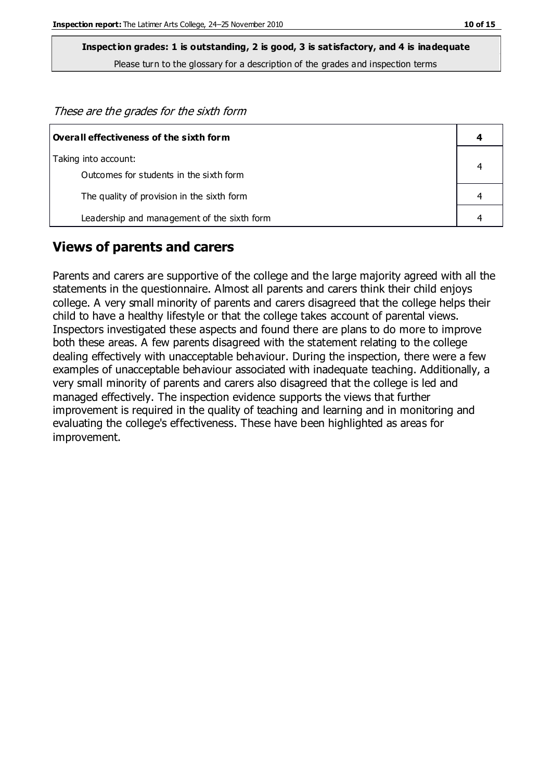These are the grades for the sixth form

| $\mid$ Overall effectiveness of the sixth form |  |
|------------------------------------------------|--|
| Taking into account:                           |  |
| Outcomes for students in the sixth form        |  |
| The quality of provision in the sixth form     |  |
| Leadership and management of the sixth form    |  |

### **Views of parents and carers**

Parents and carers are supportive of the college and the large majority agreed with all the statements in the questionnaire. Almost all parents and carers think their child enjoys college. A very small minority of parents and carers disagreed that the college helps their child to have a healthy lifestyle or that the college takes account of parental views. Inspectors investigated these aspects and found there are plans to do more to improve both these areas. A few parents disagreed with the statement relating to the college dealing effectively with unacceptable behaviour. During the inspection, there were a few examples of unacceptable behaviour associated with inadequate teaching. Additionally, a very small minority of parents and carers also disagreed that the college is led and managed effectively. The inspection evidence supports the views that further improvement is required in the quality of teaching and learning and in monitoring and evaluating the college's effectiveness. These have been highlighted as areas for improvement.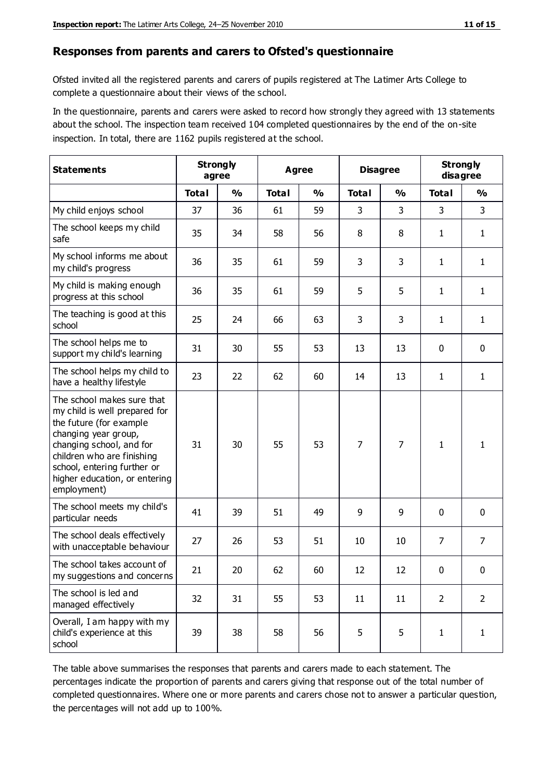#### **Responses from parents and carers to Ofsted's questionnaire**

Ofsted invited all the registered parents and carers of pupils registered at The Latimer Arts College to complete a questionnaire about their views of the school.

In the questionnaire, parents and carers were asked to record how strongly they agreed with 13 statements about the school. The inspection team received 104 completed questionnaires by the end of the on-site inspection. In total, there are 1162 pupils registered at the school.

| <b>Statements</b>                                                                                                                                                                                                                                       | <b>Strongly</b><br>agree |               | Agree        |               | <b>Disagree</b> |                |                | <b>Strongly</b><br>disagree |  |
|---------------------------------------------------------------------------------------------------------------------------------------------------------------------------------------------------------------------------------------------------------|--------------------------|---------------|--------------|---------------|-----------------|----------------|----------------|-----------------------------|--|
|                                                                                                                                                                                                                                                         | <b>Total</b>             | $\frac{0}{0}$ | <b>Total</b> | $\frac{0}{0}$ | <b>Total</b>    | $\frac{0}{0}$  | <b>Total</b>   | $\frac{1}{2}$               |  |
| My child enjoys school                                                                                                                                                                                                                                  | 37                       | 36            | 61           | 59            | 3               | 3              | 3              | $\mathbf{3}$                |  |
| The school keeps my child<br>safe                                                                                                                                                                                                                       | 35                       | 34            | 58           | 56            | 8               | 8              | 1              | $\mathbf{1}$                |  |
| My school informs me about<br>my child's progress                                                                                                                                                                                                       | 36                       | 35            | 61           | 59            | 3               | 3              | $\mathbf{1}$   | $\mathbf{1}$                |  |
| My child is making enough<br>progress at this school                                                                                                                                                                                                    | 36                       | 35            | 61           | 59            | 5               | 5              | 1              | $\mathbf{1}$                |  |
| The teaching is good at this<br>school                                                                                                                                                                                                                  | 25                       | 24            | 66           | 63            | 3               | 3              | 1              | $\mathbf{1}$                |  |
| The school helps me to<br>support my child's learning                                                                                                                                                                                                   | 31                       | 30            | 55           | 53            | 13              | 13             | $\mathbf 0$    | $\mathbf 0$                 |  |
| The school helps my child to<br>have a healthy lifestyle                                                                                                                                                                                                | 23                       | 22            | 62           | 60            | 14              | 13             | $\mathbf{1}$   | $\mathbf{1}$                |  |
| The school makes sure that<br>my child is well prepared for<br>the future (for example<br>changing year group,<br>changing school, and for<br>children who are finishing<br>school, entering further or<br>higher education, or entering<br>employment) | 31                       | 30            | 55           | 53            | $\overline{7}$  | $\overline{7}$ | $\mathbf{1}$   | 1                           |  |
| The school meets my child's<br>particular needs                                                                                                                                                                                                         | 41                       | 39            | 51           | 49            | 9               | 9              | $\mathbf 0$    | $\mathbf 0$                 |  |
| The school deals effectively<br>with unacceptable behaviour                                                                                                                                                                                             | 27                       | 26            | 53           | 51            | 10              | 10             | 7              | 7                           |  |
| The school takes account of<br>my suggestions and concerns                                                                                                                                                                                              | 21                       | 20            | 62           | 60            | 12              | 12             | 0              | 0                           |  |
| The school is led and<br>managed effectively                                                                                                                                                                                                            | 32                       | 31            | 55           | 53            | 11              | 11             | $\overline{2}$ | $\overline{2}$              |  |
| Overall, I am happy with my<br>child's experience at this<br>school                                                                                                                                                                                     | 39                       | 38            | 58           | 56            | 5               | 5              | $\mathbf{1}$   | $\mathbf{1}$                |  |

The table above summarises the responses that parents and carers made to each statement. The percentages indicate the proportion of parents and carers giving that response out of the total number of completed questionnaires. Where one or more parents and carers chose not to answer a particular question, the percentages will not add up to 100%.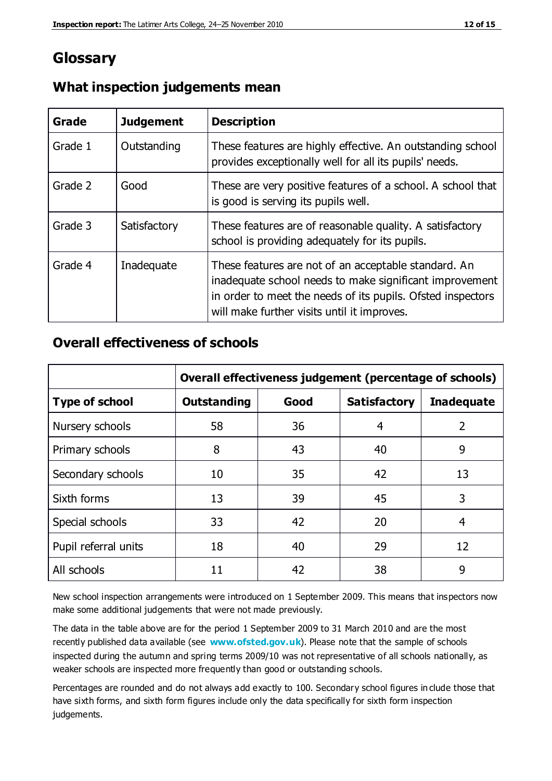## **Glossary**

| Grade   | <b>Judgement</b> | <b>Description</b>                                                                                                                                                                                                            |
|---------|------------------|-------------------------------------------------------------------------------------------------------------------------------------------------------------------------------------------------------------------------------|
| Grade 1 | Outstanding      | These features are highly effective. An outstanding school<br>provides exceptionally well for all its pupils' needs.                                                                                                          |
| Grade 2 | Good             | These are very positive features of a school. A school that<br>is good is serving its pupils well.                                                                                                                            |
| Grade 3 | Satisfactory     | These features are of reasonable quality. A satisfactory<br>school is providing adequately for its pupils.                                                                                                                    |
| Grade 4 | Inadequate       | These features are not of an acceptable standard. An<br>inadequate school needs to make significant improvement<br>in order to meet the needs of its pupils. Ofsted inspectors<br>will make further visits until it improves. |

### **What inspection judgements mean**

### **Overall effectiveness of schools**

|                       | Overall effectiveness judgement (percentage of schools) |      |                     |                   |
|-----------------------|---------------------------------------------------------|------|---------------------|-------------------|
| <b>Type of school</b> | <b>Outstanding</b>                                      | Good | <b>Satisfactory</b> | <b>Inadequate</b> |
| Nursery schools       | 58                                                      | 36   | 4                   | 2                 |
| Primary schools       | 8                                                       | 43   | 40                  | 9                 |
| Secondary schools     | 10                                                      | 35   | 42                  | 13                |
| Sixth forms           | 13                                                      | 39   | 45                  | 3                 |
| Special schools       | 33                                                      | 42   | 20                  | 4                 |
| Pupil referral units  | 18                                                      | 40   | 29                  | 12                |
| All schools           | 11                                                      | 42   | 38                  | 9                 |

New school inspection arrangements were introduced on 1 September 2009. This means that inspectors now make some additional judgements that were not made previously.

The data in the table above are for the period 1 September 2009 to 31 March 2010 and are the most recently published data available (see **[www.ofsted.gov.uk](http://www.ofsted.gov.uk/)**). Please note that the sample of schools inspected during the autumn and spring terms 2009/10 was not representative of all schools nationally, as weaker schools are inspected more frequently than good or outstanding schools.

Percentages are rounded and do not always add exactly to 100. Secondary school figures in clude those that have sixth forms, and sixth form figures include only the data specifically for sixth form inspection judgements.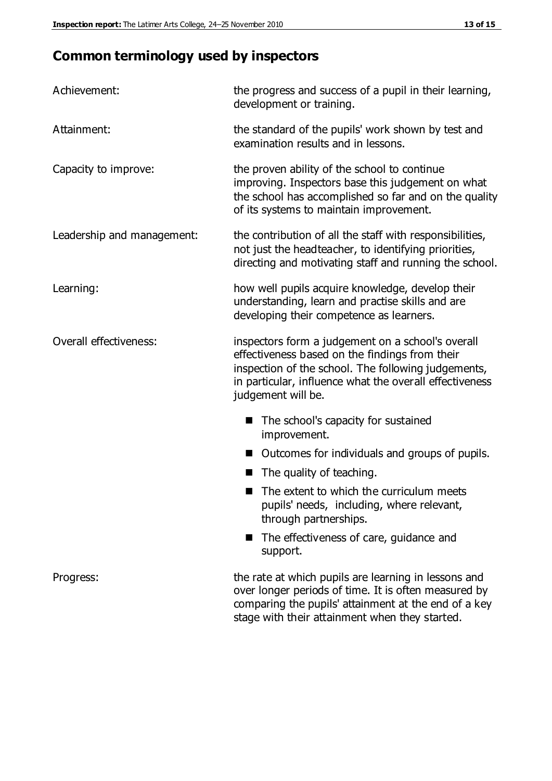## **Common terminology used by inspectors**

| Achievement:                  | the progress and success of a pupil in their learning,<br>development or training.                                                                                                                                                          |  |
|-------------------------------|---------------------------------------------------------------------------------------------------------------------------------------------------------------------------------------------------------------------------------------------|--|
| Attainment:                   | the standard of the pupils' work shown by test and<br>examination results and in lessons.                                                                                                                                                   |  |
| Capacity to improve:          | the proven ability of the school to continue<br>improving. Inspectors base this judgement on what<br>the school has accomplished so far and on the quality<br>of its systems to maintain improvement.                                       |  |
| Leadership and management:    | the contribution of all the staff with responsibilities,<br>not just the headteacher, to identifying priorities,<br>directing and motivating staff and running the school.                                                                  |  |
| Learning:                     | how well pupils acquire knowledge, develop their<br>understanding, learn and practise skills and are<br>developing their competence as learners.                                                                                            |  |
| <b>Overall effectiveness:</b> | inspectors form a judgement on a school's overall<br>effectiveness based on the findings from their<br>inspection of the school. The following judgements,<br>in particular, influence what the overall effectiveness<br>judgement will be. |  |
|                               | The school's capacity for sustained<br>improvement.                                                                                                                                                                                         |  |
|                               | Outcomes for individuals and groups of pupils.                                                                                                                                                                                              |  |
|                               | The quality of teaching.                                                                                                                                                                                                                    |  |
|                               | The extent to which the curriculum meets<br>pupils' needs, including, where relevant,<br>through partnerships.                                                                                                                              |  |
|                               | The effectiveness of care, guidance and<br>support.                                                                                                                                                                                         |  |
| Progress:                     | the rate at which pupils are learning in lessons and<br>over longer periods of time. It is often measured by<br>comparing the pupils' attainment at the end of a key                                                                        |  |

stage with their attainment when they started.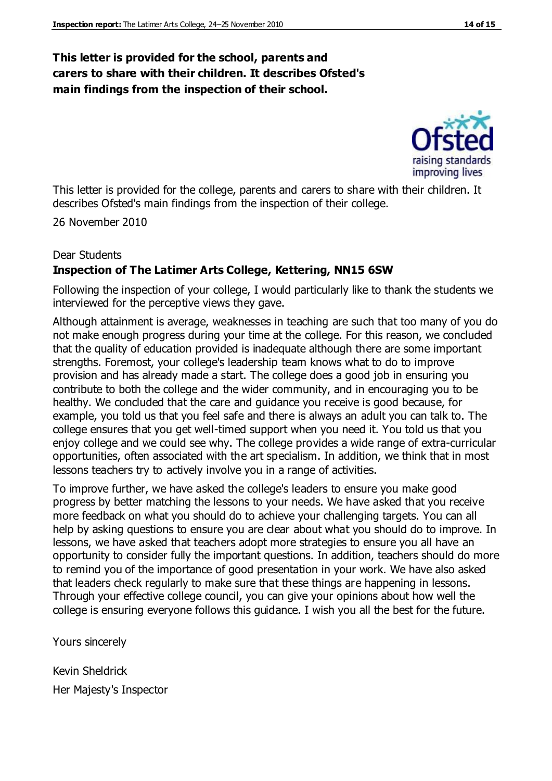#### **This letter is provided for the school, parents and carers to share with their children. It describes Ofsted's main findings from the inspection of their school.**

improving lives

This letter is provided for the college, parents and carers to share with their children. It describes Ofsted's main findings from the inspection of their college.

26 November 2010

#### Dear Students **Inspection of The Latimer Arts College, Kettering, NN15 6SW**

Following the inspection of your college, I would particularly like to thank the students we interviewed for the perceptive views they gave.

Although attainment is average, weaknesses in teaching are such that too many of you do not make enough progress during your time at the college. For this reason, we concluded that the quality of education provided is inadequate although there are some important strengths. Foremost, your college's leadership team knows what to do to improve provision and has already made a start. The college does a good job in ensuring you contribute to both the college and the wider community, and in encouraging you to be healthy. We concluded that the care and guidance you receive is good because, for example, you told us that you feel safe and there is always an adult you can talk to. The college ensures that you get well-timed support when you need it. You told us that you enjoy college and we could see why. The college provides a wide range of extra-curricular opportunities, often associated with the art specialism. In addition, we think that in most lessons teachers try to actively involve you in a range of activities.

To improve further, we have asked the college's leaders to ensure you make good progress by better matching the lessons to your needs. We have asked that you receive more feedback on what you should do to achieve your challenging targets. You can all help by asking questions to ensure you are clear about what you should do to improve. In lessons, we have asked that teachers adopt more strategies to ensure you all have an opportunity to consider fully the important questions. In addition, teachers should do more to remind you of the importance of good presentation in your work. We have also asked that leaders check regularly to make sure that these things are happening in lessons. Through your effective college council, you can give your opinions about how well the college is ensuring everyone follows this guidance. I wish you all the best for the future.

Yours sincerely

Kevin Sheldrick Her Majesty's Inspector